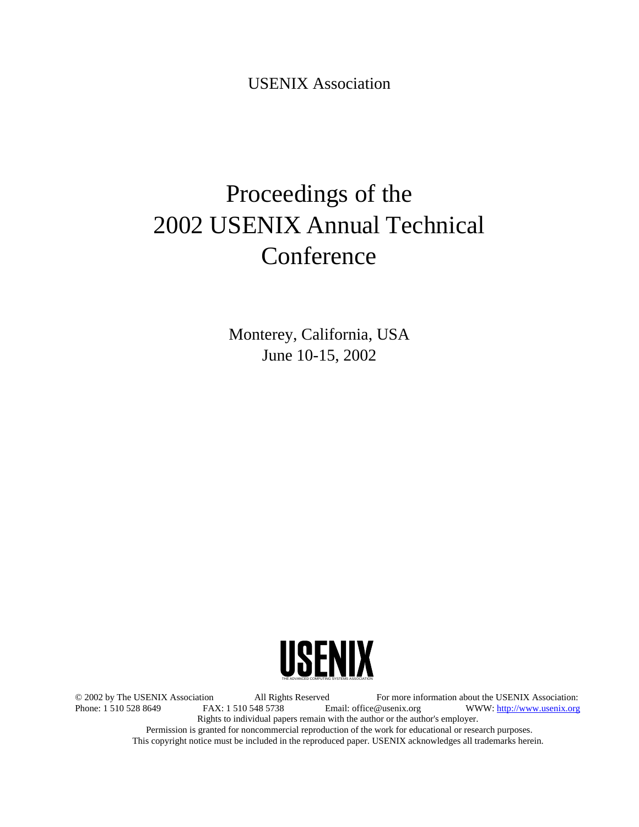USENIX Association

# Proceedings of the 2002 USENIX Annual Technical Conference

Monterey, California, USA June 10-15, 2002



© 2002 by The USENIX Association All Rights Reserved For more information about the USENIX Association: WWW: http://www.usenix.org Rights to individual papers remain with the author or the author's employer. Permission is granted for noncommercial reproduction of the work for educational or research purposes. This copyright notice must be included in the reproduced paper. USENIX acknowledges all trademarks herein.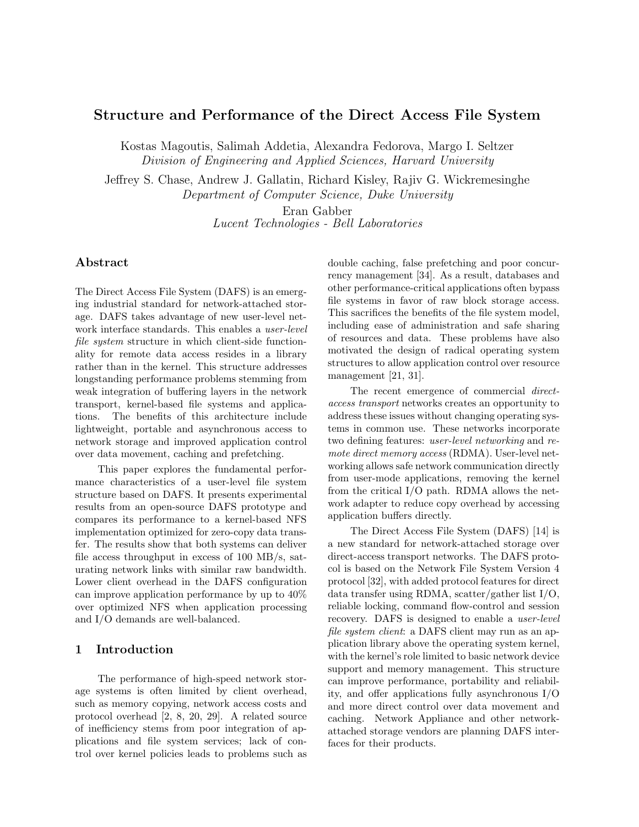## Structure and Performance of the Direct Access File System

Kostas Magoutis, Salimah Addetia, Alexandra Fedorova, Margo I. Seltzer Division of Engineering and Applied Sciences, Harvard University

Jeffrey S. Chase, Andrew J. Gallatin, Richard Kisley, Rajiv G. Wickremesinghe Department of Computer Science, Duke University

> Eran Gabber Lucent Technologies - Bell Laboratories

## Abstract

The Direct Access File System (DAFS) is an emerging industrial standard for network-attached storage. DAFS takes advantage of new user-level network interface standards. This enables a user-level file system structure in which client-side functionality for remote data access resides in a library rather than in the kernel. This structure addresses longstanding performance problems stemming from weak integration of buffering layers in the network transport, kernel-based file systems and applications. The benefits of this architecture include lightweight, portable and asynchronous access to network storage and improved application control over data movement, caching and prefetching.

This paper explores the fundamental performance characteristics of a user-level file system structure based on DAFS. It presents experimental results from an open-source DAFS prototype and compares its performance to a kernel-based NFS implementation optimized for zero-copy data transfer. The results show that both systems can deliver file access throughput in excess of 100 MB/s, saturating network links with similar raw bandwidth. Lower client overhead in the DAFS configuration can improve application performance by up to 40% over optimized NFS when application processing and I/O demands are well-balanced.

## 1 Introduction

The performance of high-speed network storage systems is often limited by client overhead, such as memory copying, network access costs and protocol overhead [2, 8, 20, 29]. A related source of inefficiency stems from poor integration of applications and file system services; lack of control over kernel policies leads to problems such as double caching, false prefetching and poor concurrency management [34]. As a result, databases and other performance-critical applications often bypass file systems in favor of raw block storage access. This sacrifices the benefits of the file system model, including ease of administration and safe sharing of resources and data. These problems have also motivated the design of radical operating system structures to allow application control over resource management [21, 31].

The recent emergence of commercial directaccess transport networks creates an opportunity to address these issues without changing operating systems in common use. These networks incorporate two defining features: user-level networking and remote direct memory access (RDMA). User-level networking allows safe network communication directly from user-mode applications, removing the kernel from the critical I/O path. RDMA allows the network adapter to reduce copy overhead by accessing application buffers directly.

The Direct Access File System (DAFS) [14] is a new standard for network-attached storage over direct-access transport networks. The DAFS protocol is based on the Network File System Version 4 protocol [32], with added protocol features for direct data transfer using RDMA, scatter/gather list I/O, reliable locking, command flow-control and session recovery. DAFS is designed to enable a user-level file system client: a DAFS client may run as an application library above the operating system kernel, with the kernel's role limited to basic network device support and memory management. This structure can improve performance, portability and reliability, and offer applications fully asynchronous I/O and more direct control over data movement and caching. Network Appliance and other networkattached storage vendors are planning DAFS interfaces for their products.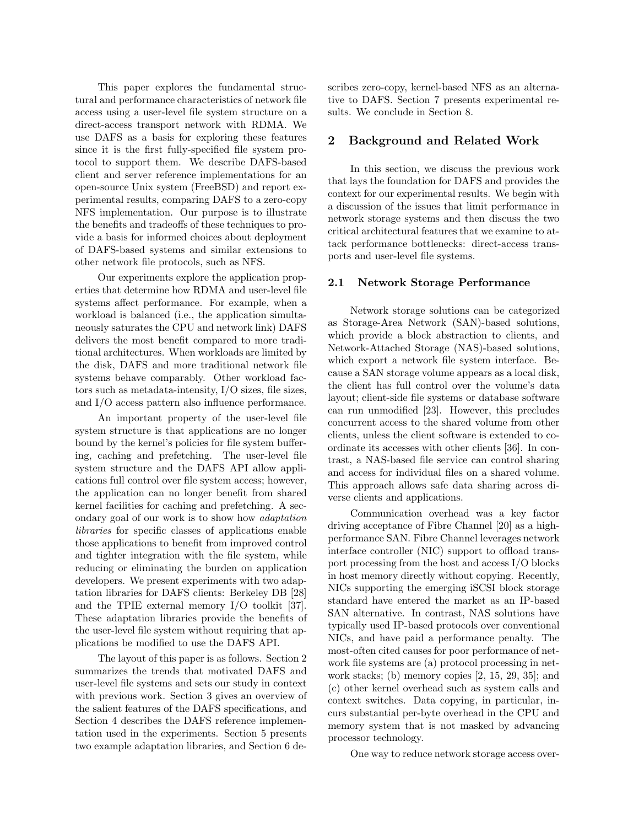This paper explores the fundamental structural and performance characteristics of network file access using a user-level file system structure on a direct-access transport network with RDMA. We use DAFS as a basis for exploring these features since it is the first fully-specified file system protocol to support them. We describe DAFS-based client and server reference implementations for an open-source Unix system (FreeBSD) and report experimental results, comparing DAFS to a zero-copy NFS implementation. Our purpose is to illustrate the benefits and tradeoffs of these techniques to provide a basis for informed choices about deployment of DAFS-based systems and similar extensions to other network file protocols, such as NFS.

Our experiments explore the application properties that determine how RDMA and user-level file systems affect performance. For example, when a workload is balanced (i.e., the application simultaneously saturates the CPU and network link) DAFS delivers the most benefit compared to more traditional architectures. When workloads are limited by the disk, DAFS and more traditional network file systems behave comparably. Other workload factors such as metadata-intensity, I/O sizes, file sizes, and I/O access pattern also influence performance.

An important property of the user-level file system structure is that applications are no longer bound by the kernel's policies for file system buffering, caching and prefetching. The user-level file system structure and the DAFS API allow applications full control over file system access; however, the application can no longer benefit from shared kernel facilities for caching and prefetching. A secondary goal of our work is to show how adaptation libraries for specific classes of applications enable those applications to benefit from improved control and tighter integration with the file system, while reducing or eliminating the burden on application developers. We present experiments with two adaptation libraries for DAFS clients: Berkeley DB [28] and the TPIE external memory I/O toolkit [37]. These adaptation libraries provide the benefits of the user-level file system without requiring that applications be modified to use the DAFS API.

The layout of this paper is as follows. Section 2 summarizes the trends that motivated DAFS and user-level file systems and sets our study in context with previous work. Section 3 gives an overview of the salient features of the DAFS specifications, and Section 4 describes the DAFS reference implementation used in the experiments. Section 5 presents two example adaptation libraries, and Section 6 describes zero-copy, kernel-based NFS as an alternative to DAFS. Section 7 presents experimental results. We conclude in Section 8.

### 2 Background and Related Work

In this section, we discuss the previous work that lays the foundation for DAFS and provides the context for our experimental results. We begin with a discussion of the issues that limit performance in network storage systems and then discuss the two critical architectural features that we examine to attack performance bottlenecks: direct-access transports and user-level file systems.

#### 2.1 Network Storage Performance

Network storage solutions can be categorized as Storage-Area Network (SAN)-based solutions, which provide a block abstraction to clients, and Network-Attached Storage (NAS)-based solutions, which export a network file system interface. Because a SAN storage volume appears as a local disk, the client has full control over the volume's data layout; client-side file systems or database software can run unmodified [23]. However, this precludes concurrent access to the shared volume from other clients, unless the client software is extended to coordinate its accesses with other clients [36]. In contrast, a NAS-based file service can control sharing and access for individual files on a shared volume. This approach allows safe data sharing across diverse clients and applications.

Communication overhead was a key factor driving acceptance of Fibre Channel [20] as a highperformance SAN. Fibre Channel leverages network interface controller (NIC) support to offload transport processing from the host and access I/O blocks in host memory directly without copying. Recently, NICs supporting the emerging iSCSI block storage standard have entered the market as an IP-based SAN alternative. In contrast, NAS solutions have typically used IP-based protocols over conventional NICs, and have paid a performance penalty. The most-often cited causes for poor performance of network file systems are (a) protocol processing in network stacks; (b) memory copies [2, 15, 29, 35]; and (c) other kernel overhead such as system calls and context switches. Data copying, in particular, incurs substantial per-byte overhead in the CPU and memory system that is not masked by advancing processor technology.

One way to reduce network storage access over-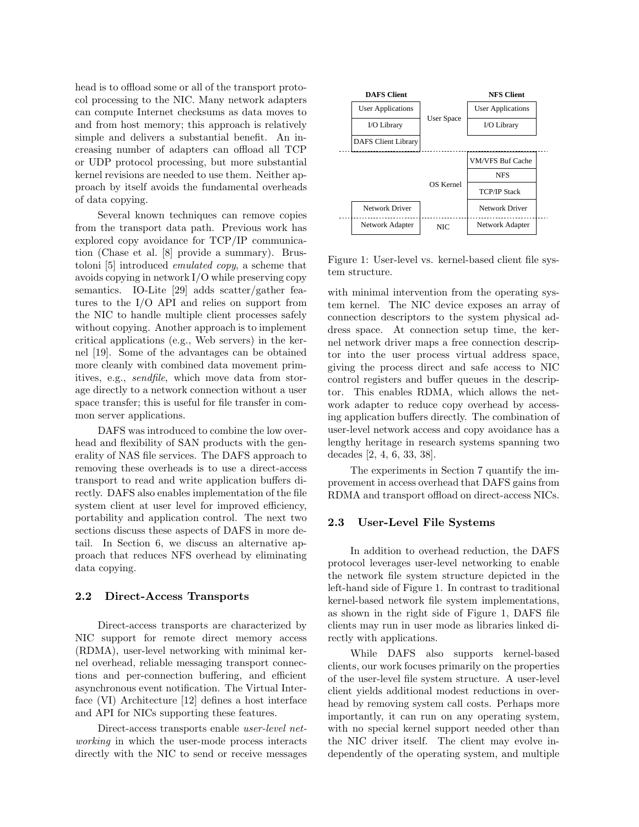head is to offload some or all of the transport protocol processing to the NIC. Many network adapters can compute Internet checksums as data moves to and from host memory; this approach is relatively simple and delivers a substantial benefit. An increasing number of adapters can offload all TCP or UDP protocol processing, but more substantial kernel revisions are needed to use them. Neither approach by itself avoids the fundamental overheads of data copying.

Several known techniques can remove copies from the transport data path. Previous work has explored copy avoidance for TCP/IP communication (Chase et al. [8] provide a summary). Brustoloni [5] introduced emulated copy, a scheme that avoids copying in network  $I/O$  while preserving copy semantics. IO-Lite [29] adds scatter/gather features to the I/O API and relies on support from the NIC to handle multiple client processes safely without copying. Another approach is to implement critical applications (e.g., Web servers) in the kernel [19]. Some of the advantages can be obtained more cleanly with combined data movement primitives, e.g., sendfile, which move data from storage directly to a network connection without a user space transfer; this is useful for file transfer in common server applications.

DAFS was introduced to combine the low overhead and flexibility of SAN products with the generality of NAS file services. The DAFS approach to removing these overheads is to use a direct-access transport to read and write application buffers directly. DAFS also enables implementation of the file system client at user level for improved efficiency, portability and application control. The next two sections discuss these aspects of DAFS in more detail. In Section 6, we discuss an alternative approach that reduces NFS overhead by eliminating data copying.

#### 2.2 Direct-Access Transports

Direct-access transports are characterized by NIC support for remote direct memory access (RDMA), user-level networking with minimal kernel overhead, reliable messaging transport connections and per-connection buffering, and efficient asynchronous event notification. The Virtual Interface (VI) Architecture [12] defines a host interface and API for NICs supporting these features.

Direct-access transports enable user-level networking in which the user-mode process interacts directly with the NIC to send or receive messages



Figure 1: User-level vs. kernel-based client file system structure.

with minimal intervention from the operating system kernel. The NIC device exposes an array of connection descriptors to the system physical address space. At connection setup time, the kernel network driver maps a free connection descriptor into the user process virtual address space, giving the process direct and safe access to NIC control registers and buffer queues in the descriptor. This enables RDMA, which allows the network adapter to reduce copy overhead by accessing application buffers directly. The combination of user-level network access and copy avoidance has a lengthy heritage in research systems spanning two decades [2, 4, 6, 33, 38].

The experiments in Section 7 quantify the improvement in access overhead that DAFS gains from RDMA and transport offload on direct-access NICs.

#### 2.3 User-Level File Systems

In addition to overhead reduction, the DAFS protocol leverages user-level networking to enable the network file system structure depicted in the left-hand side of Figure 1. In contrast to traditional kernel-based network file system implementations, as shown in the right side of Figure 1, DAFS file clients may run in user mode as libraries linked directly with applications.

While DAFS also supports kernel-based clients, our work focuses primarily on the properties of the user-level file system structure. A user-level client yields additional modest reductions in overhead by removing system call costs. Perhaps more importantly, it can run on any operating system, with no special kernel support needed other than the NIC driver itself. The client may evolve independently of the operating system, and multiple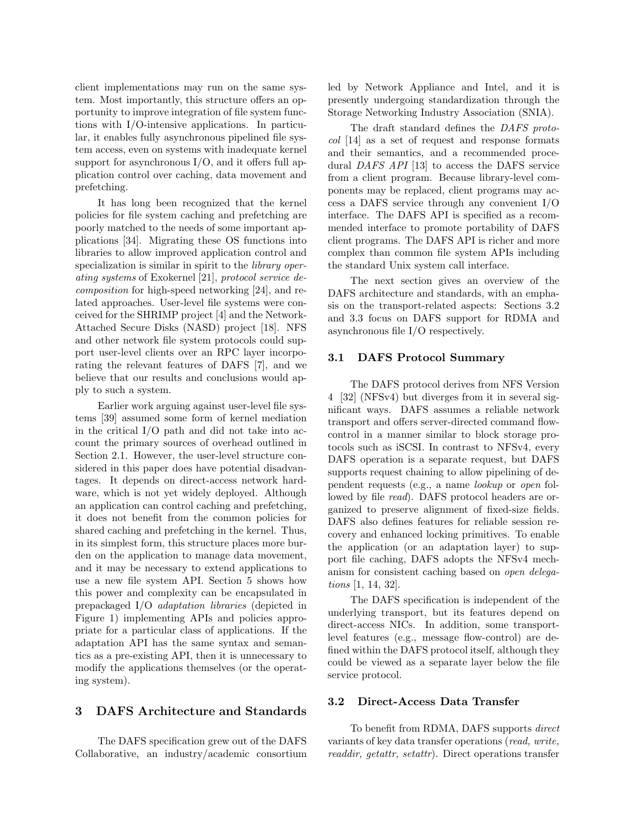client implementations may run on the same system. Most importantly, this structure offers an opportunity to improve integration of file system functions with I/O-intensive applications. In particular, it enables fully asynchronous pipelined file system access, even on systems with inadequate kernel support for asynchronous  $I/O$ , and it offers full application control over caching, data movement and prefetching.

It has long been recognized that the kernel policies for file system caching and prefetching are poorly matched to the needs of some important applications [34]. Migrating these OS functions into libraries to allow improved application control and specialization is similar in spirit to the *library oper*ating systems of Exokernel [21], protocol service decomposition for high-speed networking [24], and related approaches. User-level file systems were conceived for the SHRIMP project [4] and the Network-Attached Secure Disks (NASD) project [18]. NFS and other network file system protocols could support user-level clients over an RPC layer incorporating the relevant features of DAFS [7], and we believe that our results and conclusions would apply to such a system.

Earlier work arguing against user-level file systems [39] assumed some form of kernel mediation in the critical I/O path and did not take into account the primary sources of overhead outlined in Section 2.1. However, the user-level structure considered in this paper does have potential disadvantages. It depends on direct-access network hardware, which is not yet widely deployed. Although an application can control caching and prefetching, it does not benefit from the common policies for shared caching and prefetching in the kernel. Thus, in its simplest form, this structure places more burden on the application to manage data movement, and it may be necessary to extend applications to use a new file system API. Section 5 shows how this power and complexity can be encapsulated in prepackaged I/O adaptation libraries (depicted in Figure 1) implementing APIs and policies appropriate for a particular class of applications. If the adaptation API has the same syntax and semantics as a pre-existing API, then it is unnecessary to modify the applications themselves (or the operating system).

#### 3 DAFS Architecture and Standards

The DAFS specification grew out of the DAFS Collaborative, an industry/academic consortium led by Network Appliance and Intel, and it is presently undergoing standardization through the Storage Networking Industry Association (SNIA).

The draft standard defines the DAFS protocol [14] as a set of request and response formats and their semantics, and a recommended procedural DAFS API [13] to access the DAFS service from a client program. Because library-level components may be replaced, client programs may access a DAFS service through any convenient I/O interface. The DAFS API is specified as a recommended interface to promote portability of DAFS client programs. The DAFS API is richer and more complex than common file system APIs including the standard Unix system call interface.

The next section gives an overview of the DAFS architecture and standards, with an emphasis on the transport-related aspects: Sections 3.2 and 3.3 focus on DAFS support for RDMA and asynchronous file I/O respectively.

#### 3.1 DAFS Protocol Summary

The DAFS protocol derives from NFS Version 4 [32] (NFSv4) but diverges from it in several significant ways. DAFS assumes a reliable network transport and offers server-directed command flowcontrol in a manner similar to block storage protocols such as iSCSI. In contrast to NFSv4, every DAFS operation is a separate request, but DAFS supports request chaining to allow pipelining of dependent requests (e.g., a name lookup or open followed by file *read*). DAFS protocol headers are organized to preserve alignment of fixed-size fields. DAFS also defines features for reliable session recovery and enhanced locking primitives. To enable the application (or an adaptation layer) to support file caching, DAFS adopts the NFSv4 mechanism for consistent caching based on *open delega*tions [1, 14, 32].

The DAFS specification is independent of the underlying transport, but its features depend on direct-access NICs. In addition, some transportlevel features (e.g., message flow-control) are defined within the DAFS protocol itself, although they could be viewed as a separate layer below the file service protocol.

## 3.2 Direct-Access Data Transfer

To benefit from RDMA, DAFS supports direct variants of key data transfer operations (read, write, readdir, getattr, setattr). Direct operations transfer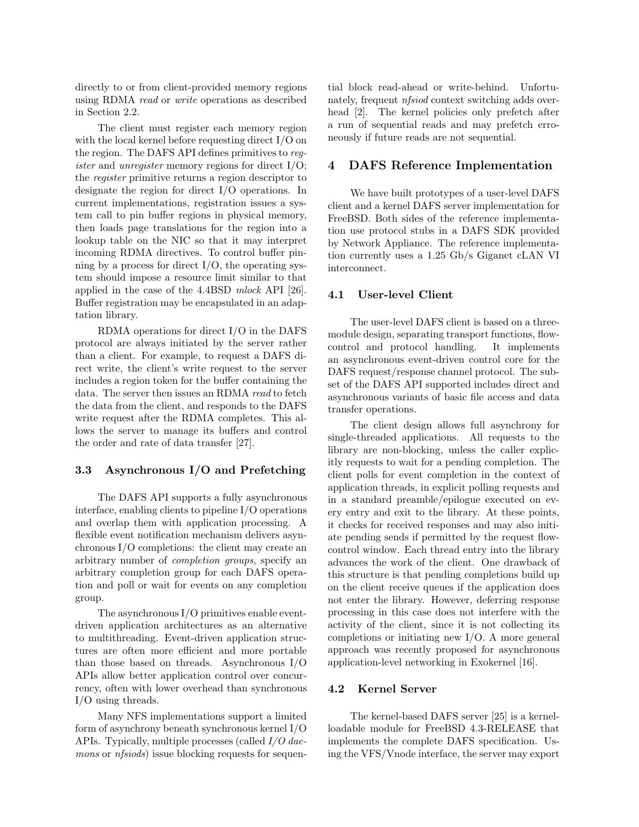directly to or from client-provided memory regions using RDMA read or write operations as described in Section 2.2.

The client must register each memory region with the local kernel before requesting direct I/O on the region. The DAFS API defines primitives to register and unregister memory regions for direct I/O; the register primitive returns a region descriptor to designate the region for direct I/O operations. In current implementations, registration issues a system call to pin buffer regions in physical memory, then loads page translations for the region into a lookup table on the NIC so that it may interpret incoming RDMA directives. To control buffer pinning by a process for direct  $I/O$ , the operating system should impose a resource limit similar to that applied in the case of the 4.4BSD mlock API [26]. Buffer registration may be encapsulated in an adaptation library.

RDMA operations for direct I/O in the DAFS protocol are always initiated by the server rather than a client. For example, to request a DAFS direct write, the client's write request to the server includes a region token for the buffer containing the data. The server then issues an RDMA read to fetch the data from the client, and responds to the DAFS write request after the RDMA completes. This allows the server to manage its buffers and control the order and rate of data transfer [27].

#### 3.3 Asynchronous I/O and Prefetching

The DAFS API supports a fully asynchronous interface, enabling clients to pipeline I/O operations and overlap them with application processing. A flexible event notification mechanism delivers asynchronous I/O completions: the client may create an arbitrary number of completion groups, specify an arbitrary completion group for each DAFS operation and poll or wait for events on any completion group.

The asynchronous I/O primitives enable eventdriven application architectures as an alternative to multithreading. Event-driven application structures are often more efficient and more portable than those based on threads. Asynchronous I/O APIs allow better application control over concurrency, often with lower overhead than synchronous I/O using threads.

Many NFS implementations support a limited form of asynchrony beneath synchronous kernel I/O APIs. Typically, multiple processes (called I/O daemons or *nfsiods*) issue blocking requests for sequential block read-ahead or write-behind. Unfortunately, frequent nfsiod context switching adds overhead [2]. The kernel policies only prefetch after a run of sequential reads and may prefetch erroneously if future reads are not sequential.

## 4 DAFS Reference Implementation

We have built prototypes of a user-level DAFS client and a kernel DAFS server implementation for FreeBSD. Both sides of the reference implementation use protocol stubs in a DAFS SDK provided by Network Appliance. The reference implementation currently uses a 1.25 Gb/s Giganet cLAN VI interconnect.

#### 4.1 User-level Client

The user-level DAFS client is based on a threemodule design, separating transport functions, flowcontrol and protocol handling. It implements an asynchronous event-driven control core for the DAFS request/response channel protocol. The subset of the DAFS API supported includes direct and asynchronous variants of basic file access and data transfer operations.

The client design allows full asynchrony for single-threaded applications. All requests to the library are non-blocking, unless the caller explicitly requests to wait for a pending completion. The client polls for event completion in the context of application threads, in explicit polling requests and in a standard preamble/epilogue executed on every entry and exit to the library. At these points, it checks for received responses and may also initiate pending sends if permitted by the request flowcontrol window. Each thread entry into the library advances the work of the client. One drawback of this structure is that pending completions build up on the client receive queues if the application does not enter the library. However, deferring response processing in this case does not interfere with the activity of the client, since it is not collecting its completions or initiating new I/O. A more general approach was recently proposed for asynchronous application-level networking in Exokernel [16].

## 4.2 Kernel Server

The kernel-based DAFS server [25] is a kernelloadable module for FreeBSD 4.3-RELEASE that implements the complete DAFS specification. Using the VFS/Vnode interface, the server may export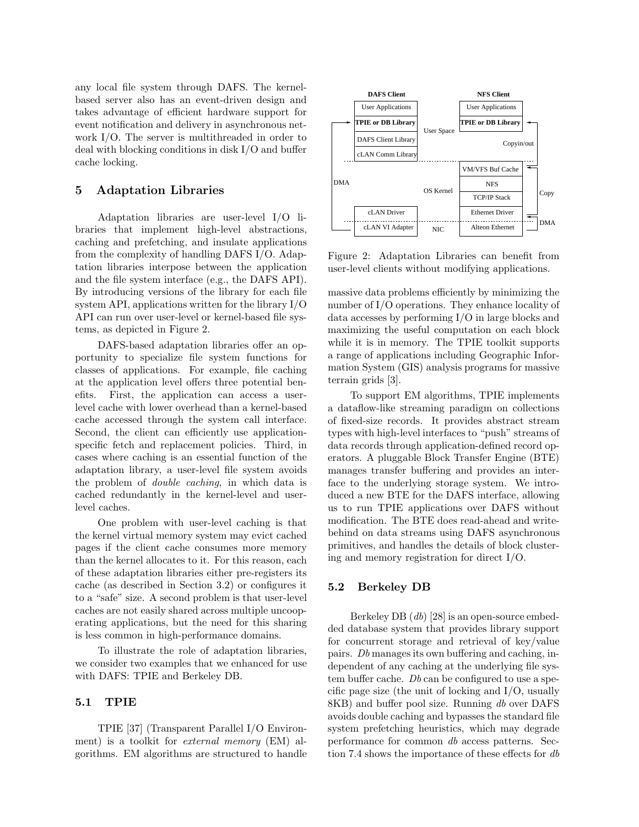any local file system through DAFS. The kernelbased server also has an event-driven design and takes advantage of efficient hardware support for event notification and delivery in asynchronous network I/O. The server is multithreaded in order to deal with blocking conditions in disk I/O and buffer cache locking.

## 5 Adaptation Libraries

Adaptation libraries are user-level I/O libraries that implement high-level abstractions, caching and prefetching, and insulate applications from the complexity of handling DAFS I/O. Adaptation libraries interpose between the application and the file system interface (e.g., the DAFS API). By introducing versions of the library for each file system API, applications written for the library I/O API can run over user-level or kernel-based file systems, as depicted in Figure 2.

DAFS-based adaptation libraries offer an opportunity to specialize file system functions for classes of applications. For example, file caching at the application level offers three potential benefits. First, the application can access a userlevel cache with lower overhead than a kernel-based cache accessed through the system call interface. Second, the client can efficiently use applicationspecific fetch and replacement policies. Third, in cases where caching is an essential function of the adaptation library, a user-level file system avoids the problem of double caching, in which data is cached redundantly in the kernel-level and userlevel caches.

One problem with user-level caching is that the kernel virtual memory system may evict cached pages if the client cache consumes more memory than the kernel allocates to it. For this reason, each of these adaptation libraries either pre-registers its cache (as described in Section 3.2) or configures it to a "safe" size. A second problem is that user-level caches are not easily shared across multiple uncooperating applications, but the need for this sharing is less common in high-performance domains.

To illustrate the role of adaptation libraries, we consider two examples that we enhanced for use with DAFS: TPIE and Berkeley DB.

#### 5.1 TPIE

TPIE [37] (Transparent Parallel I/O Environment) is a toolkit for *external memory* (EM) algorithms. EM algorithms are structured to handle



Figure 2: Adaptation Libraries can benefit from user-level clients without modifying applications.

massive data problems efficiently by minimizing the number of I/O operations. They enhance locality of data accesses by performing I/O in large blocks and maximizing the useful computation on each block while it is in memory. The TPIE toolkit supports a range of applications including Geographic Information System (GIS) analysis programs for massive terrain grids [3].

To support EM algorithms, TPIE implements a dataflow-like streaming paradigm on collections of fixed-size records. It provides abstract stream types with high-level interfaces to "push" streams of data records through application-defined record operators. A pluggable Block Transfer Engine (BTE) manages transfer buffering and provides an interface to the underlying storage system. We introduced a new BTE for the DAFS interface, allowing us to run TPIE applications over DAFS without modification. The BTE does read-ahead and writebehind on data streams using DAFS asynchronous primitives, and handles the details of block clustering and memory registration for direct I/O.

#### 5.2 Berkeley DB

Berkeley DB (db) [28] is an open-source embedded database system that provides library support for concurrent storage and retrieval of key/value pairs. Db manages its own buffering and caching, independent of any caching at the underlying file system buffer cache. Db can be configured to use a specific page size (the unit of locking and I/O, usually 8KB) and buffer pool size. Running db over DAFS avoids double caching and bypasses the standard file system prefetching heuristics, which may degrade performance for common db access patterns. Section 7.4 shows the importance of these effects for db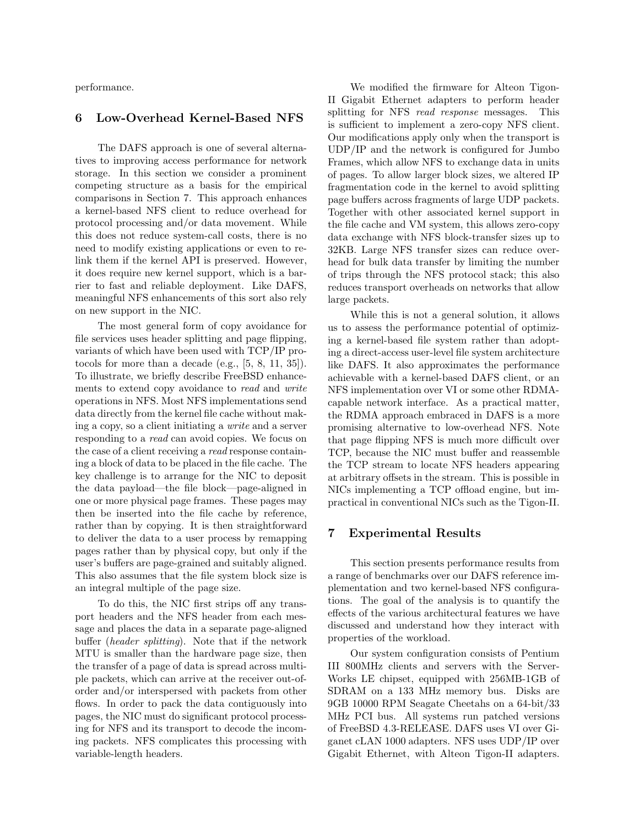performance.

### 6 Low-Overhead Kernel-Based NFS

The DAFS approach is one of several alternatives to improving access performance for network storage. In this section we consider a prominent competing structure as a basis for the empirical comparisons in Section 7. This approach enhances a kernel-based NFS client to reduce overhead for protocol processing and/or data movement. While this does not reduce system-call costs, there is no need to modify existing applications or even to relink them if the kernel API is preserved. However, it does require new kernel support, which is a barrier to fast and reliable deployment. Like DAFS, meaningful NFS enhancements of this sort also rely on new support in the NIC.

The most general form of copy avoidance for file services uses header splitting and page flipping, variants of which have been used with TCP/IP protocols for more than a decade (e.g., [5, 8, 11, 35]). To illustrate, we briefly describe FreeBSD enhancements to extend copy avoidance to read and write operations in NFS. Most NFS implementations send data directly from the kernel file cache without making a copy, so a client initiating a write and a server responding to a read can avoid copies. We focus on the case of a client receiving a read response containing a block of data to be placed in the file cache. The key challenge is to arrange for the NIC to deposit the data payload—the file block—page-aligned in one or more physical page frames. These pages may then be inserted into the file cache by reference, rather than by copying. It is then straightforward to deliver the data to a user process by remapping pages rather than by physical copy, but only if the user's buffers are page-grained and suitably aligned. This also assumes that the file system block size is an integral multiple of the page size.

To do this, the NIC first strips off any transport headers and the NFS header from each message and places the data in a separate page-aligned buffer (header splitting). Note that if the network MTU is smaller than the hardware page size, then the transfer of a page of data is spread across multiple packets, which can arrive at the receiver out-oforder and/or interspersed with packets from other flows. In order to pack the data contiguously into pages, the NIC must do significant protocol processing for NFS and its transport to decode the incoming packets. NFS complicates this processing with variable-length headers.

We modified the firmware for Alteon Tigon-II Gigabit Ethernet adapters to perform header splitting for NFS *read response* messages. This is sufficient to implement a zero-copy NFS client. Our modifications apply only when the transport is UDP/IP and the network is configured for Jumbo Frames, which allow NFS to exchange data in units of pages. To allow larger block sizes, we altered IP fragmentation code in the kernel to avoid splitting page buffers across fragments of large UDP packets. Together with other associated kernel support in the file cache and VM system, this allows zero-copy data exchange with NFS block-transfer sizes up to 32KB. Large NFS transfer sizes can reduce overhead for bulk data transfer by limiting the number of trips through the NFS protocol stack; this also reduces transport overheads on networks that allow large packets.

While this is not a general solution, it allows us to assess the performance potential of optimizing a kernel-based file system rather than adopting a direct-access user-level file system architecture like DAFS. It also approximates the performance achievable with a kernel-based DAFS client, or an NFS implementation over VI or some other RDMAcapable network interface. As a practical matter, the RDMA approach embraced in DAFS is a more promising alternative to low-overhead NFS. Note that page flipping NFS is much more difficult over TCP, because the NIC must buffer and reassemble the TCP stream to locate NFS headers appearing at arbitrary offsets in the stream. This is possible in NICs implementing a TCP offload engine, but impractical in conventional NICs such as the Tigon-II.

## 7 Experimental Results

This section presents performance results from a range of benchmarks over our DAFS reference implementation and two kernel-based NFS configurations. The goal of the analysis is to quantify the effects of the various architectural features we have discussed and understand how they interact with properties of the workload.

Our system configuration consists of Pentium III 800MHz clients and servers with the Server-Works LE chipset, equipped with 256MB-1GB of SDRAM on a 133 MHz memory bus. Disks are 9GB 10000 RPM Seagate Cheetahs on a 64-bit/33 MHz PCI bus. All systems run patched versions of FreeBSD 4.3-RELEASE. DAFS uses VI over Giganet cLAN 1000 adapters. NFS uses UDP/IP over Gigabit Ethernet, with Alteon Tigon-II adapters.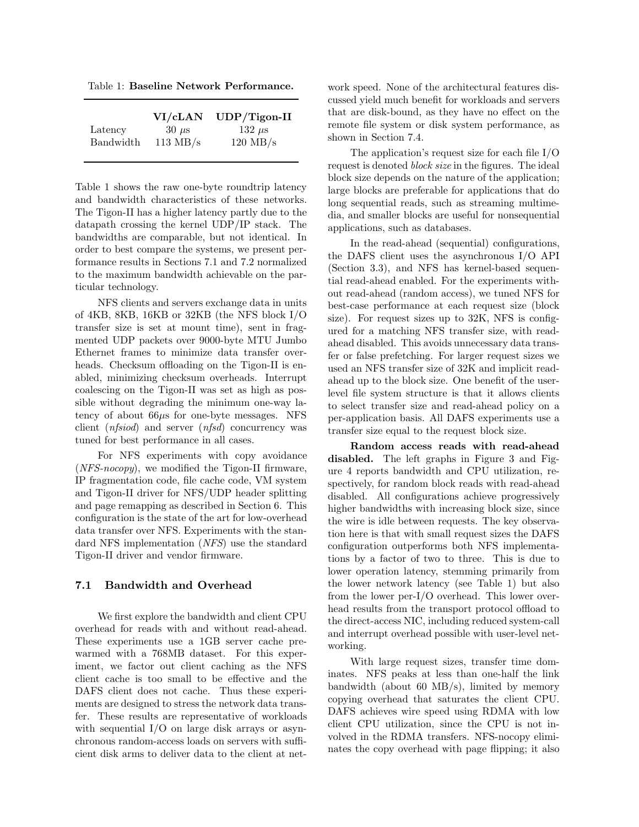Table 1: Baseline Network Performance.

|           | VI/cLAN            | $UDP/Tigon-II$     |
|-----------|--------------------|--------------------|
| Latency   | $30 \mu s$         | 132 $\mu$ s        |
| Bandwidth | $113 \text{ MB/s}$ | $120 \text{ MB/s}$ |

Table 1 shows the raw one-byte roundtrip latency and bandwidth characteristics of these networks. The Tigon-II has a higher latency partly due to the datapath crossing the kernel UDP/IP stack. The bandwidths are comparable, but not identical. In order to best compare the systems, we present performance results in Sections 7.1 and 7.2 normalized to the maximum bandwidth achievable on the particular technology.

NFS clients and servers exchange data in units of 4KB, 8KB, 16KB or 32KB (the NFS block I/O transfer size is set at mount time), sent in fragmented UDP packets over 9000-byte MTU Jumbo Ethernet frames to minimize data transfer overheads. Checksum offloading on the Tigon-II is enabled, minimizing checksum overheads. Interrupt coalescing on the Tigon-II was set as high as possible without degrading the minimum one-way latency of about 66µs for one-byte messages. NFS client (nfsiod) and server (nfsd) concurrency was tuned for best performance in all cases.

For NFS experiments with copy avoidance  $(NFS-nocopy)$ , we modified the Tigon-II firmware, IP fragmentation code, file cache code, VM system and Tigon-II driver for NFS/UDP header splitting and page remapping as described in Section 6. This configuration is the state of the art for low-overhead data transfer over NFS. Experiments with the standard NFS implementation (NFS) use the standard Tigon-II driver and vendor firmware.

## 7.1 Bandwidth and Overhead

We first explore the bandwidth and client CPU overhead for reads with and without read-ahead. These experiments use a 1GB server cache prewarmed with a 768MB dataset. For this experiment, we factor out client caching as the NFS client cache is too small to be effective and the DAFS client does not cache. Thus these experiments are designed to stress the network data transfer. These results are representative of workloads with sequential I/O on large disk arrays or asynchronous random-access loads on servers with sufficient disk arms to deliver data to the client at network speed. None of the architectural features discussed yield much benefit for workloads and servers that are disk-bound, as they have no effect on the remote file system or disk system performance, as shown in Section 7.4.

The application's request size for each file I/O request is denoted block size in the figures. The ideal block size depends on the nature of the application; large blocks are preferable for applications that do long sequential reads, such as streaming multimedia, and smaller blocks are useful for nonsequential applications, such as databases.

In the read-ahead (sequential) configurations, the DAFS client uses the asynchronous I/O API (Section 3.3), and NFS has kernel-based sequential read-ahead enabled. For the experiments without read-ahead (random access), we tuned NFS for best-case performance at each request size (block size). For request sizes up to 32K, NFS is configured for a matching NFS transfer size, with readahead disabled. This avoids unnecessary data transfer or false prefetching. For larger request sizes we used an NFS transfer size of 32K and implicit readahead up to the block size. One benefit of the userlevel file system structure is that it allows clients to select transfer size and read-ahead policy on a per-application basis. All DAFS experiments use a transfer size equal to the request block size.

Random access reads with read-ahead disabled. The left graphs in Figure 3 and Figure 4 reports bandwidth and CPU utilization, respectively, for random block reads with read-ahead disabled. All configurations achieve progressively higher bandwidths with increasing block size, since the wire is idle between requests. The key observation here is that with small request sizes the DAFS configuration outperforms both NFS implementations by a factor of two to three. This is due to lower operation latency, stemming primarily from the lower network latency (see Table 1) but also from the lower per-I/O overhead. This lower overhead results from the transport protocol offload to the direct-access NIC, including reduced system-call and interrupt overhead possible with user-level networking.

With large request sizes, transfer time dominates. NFS peaks at less than one-half the link bandwidth (about 60 MB/s), limited by memory copying overhead that saturates the client CPU. DAFS achieves wire speed using RDMA with low client CPU utilization, since the CPU is not involved in the RDMA transfers. NFS-nocopy eliminates the copy overhead with page flipping; it also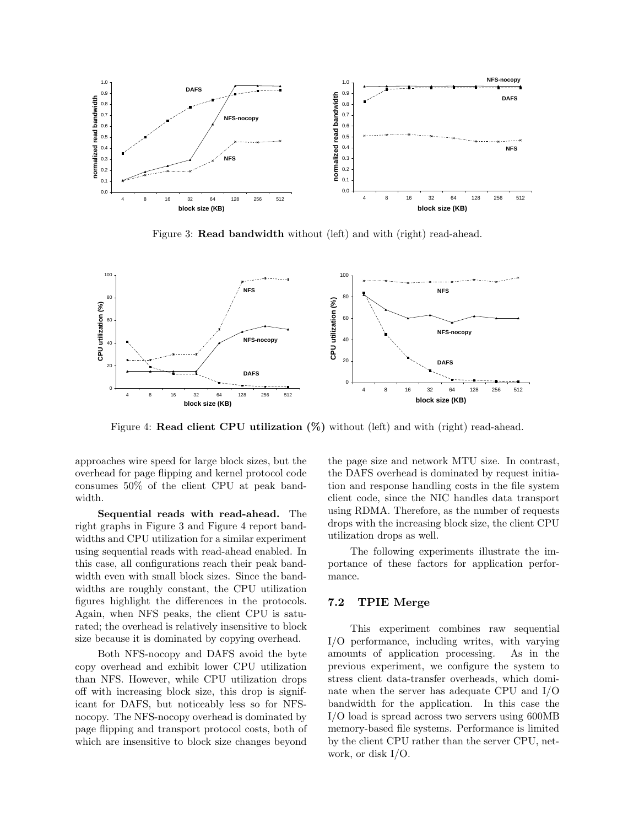

Figure 3: Read bandwidth without (left) and with (right) read-ahead.



Figure 4: **Read client CPU utilization**  $(\%)$  without (left) and with (right) read-ahead.

approaches wire speed for large block sizes, but the overhead for page flipping and kernel protocol code consumes 50% of the client CPU at peak bandwidth.

Sequential reads with read-ahead. The right graphs in Figure 3 and Figure 4 report bandwidths and CPU utilization for a similar experiment using sequential reads with read-ahead enabled. In this case, all configurations reach their peak bandwidth even with small block sizes. Since the bandwidths are roughly constant, the CPU utilization figures highlight the differences in the protocols. Again, when NFS peaks, the client CPU is saturated; the overhead is relatively insensitive to block size because it is dominated by copying overhead.

Both NFS-nocopy and DAFS avoid the byte copy overhead and exhibit lower CPU utilization than NFS. However, while CPU utilization drops off with increasing block size, this drop is significant for DAFS, but noticeably less so for NFSnocopy. The NFS-nocopy overhead is dominated by page flipping and transport protocol costs, both of which are insensitive to block size changes beyond the page size and network MTU size. In contrast, the DAFS overhead is dominated by request initiation and response handling costs in the file system client code, since the NIC handles data transport using RDMA. Therefore, as the number of requests drops with the increasing block size, the client CPU utilization drops as well.

The following experiments illustrate the importance of these factors for application performance.

#### 7.2 TPIE Merge

This experiment combines raw sequential I/O performance, including writes, with varying amounts of application processing. As in the previous experiment, we configure the system to stress client data-transfer overheads, which dominate when the server has adequate CPU and I/O bandwidth for the application. In this case the I/O load is spread across two servers using 600MB memory-based file systems. Performance is limited by the client CPU rather than the server CPU, network, or disk I/O.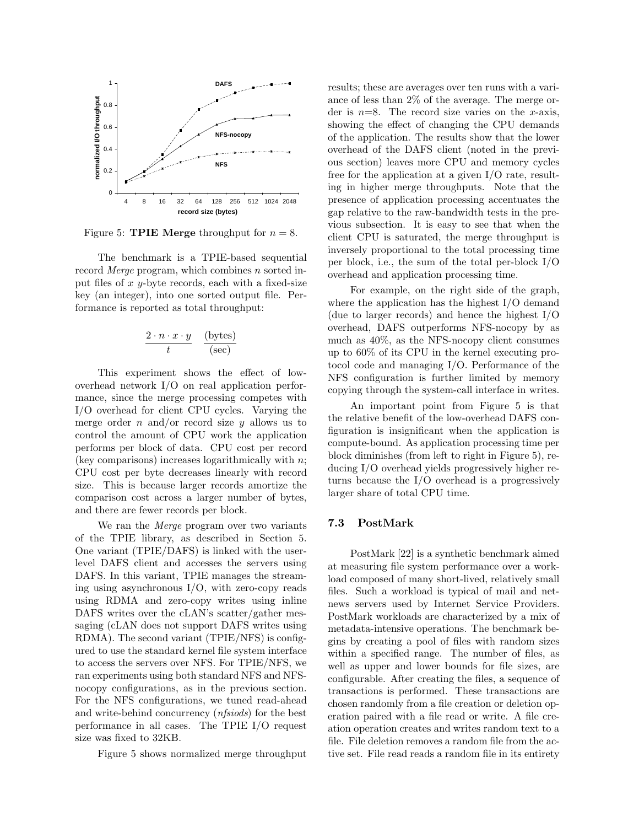

Figure 5: **TPIE** Merge throughput for  $n = 8$ .

The benchmark is a TPIE-based sequential record *Merge* program, which combines  $n$  sorted input files of  $x$  y-byte records, each with a fixed-size key (an integer), into one sorted output file. Performance is reported as total throughput:

$$
\frac{2 \cdot n \cdot x \cdot y}{t} \quad \frac{\text{(bytes)}}{\text{(sec)}}
$$

This experiment shows the effect of lowoverhead network I/O on real application performance, since the merge processing competes with I/O overhead for client CPU cycles. Varying the merge order  $n$  and/or record size  $y$  allows us to control the amount of CPU work the application performs per block of data. CPU cost per record (key comparisons) increases logarithmically with  $n$ ; CPU cost per byte decreases linearly with record size. This is because larger records amortize the comparison cost across a larger number of bytes, and there are fewer records per block.

We ran the *Merge* program over two variants of the TPIE library, as described in Section 5. One variant (TPIE/DAFS) is linked with the userlevel DAFS client and accesses the servers using DAFS. In this variant, TPIE manages the streaming using asynchronous I/O, with zero-copy reads using RDMA and zero-copy writes using inline DAFS writes over the cLAN's scatter/gather messaging (cLAN does not support DAFS writes using RDMA). The second variant (TPIE/NFS) is configured to use the standard kernel file system interface to access the servers over NFS. For TPIE/NFS, we ran experiments using both standard NFS and NFSnocopy configurations, as in the previous section. For the NFS configurations, we tuned read-ahead and write-behind concurrency (nfsiods) for the best performance in all cases. The TPIE I/O request size was fixed to 32KB.

Figure 5 shows normalized merge throughput

results; these are averages over ten runs with a variance of less than 2% of the average. The merge order is  $n=8$ . The record size varies on the x-axis, showing the effect of changing the CPU demands of the application. The results show that the lower overhead of the DAFS client (noted in the previous section) leaves more CPU and memory cycles free for the application at a given I/O rate, resulting in higher merge throughputs. Note that the presence of application processing accentuates the gap relative to the raw-bandwidth tests in the previous subsection. It is easy to see that when the client CPU is saturated, the merge throughput is inversely proportional to the total processing time per block, i.e., the sum of the total per-block I/O overhead and application processing time.

For example, on the right side of the graph, where the application has the highest I/O demand (due to larger records) and hence the highest I/O overhead, DAFS outperforms NFS-nocopy by as much as 40%, as the NFS-nocopy client consumes up to 60% of its CPU in the kernel executing protocol code and managing I/O. Performance of the NFS configuration is further limited by memory copying through the system-call interface in writes.

An important point from Figure 5 is that the relative benefit of the low-overhead DAFS configuration is insignificant when the application is compute-bound. As application processing time per block diminishes (from left to right in Figure 5), reducing I/O overhead yields progressively higher returns because the I/O overhead is a progressively larger share of total CPU time.

#### 7.3 PostMark

PostMark [22] is a synthetic benchmark aimed at measuring file system performance over a workload composed of many short-lived, relatively small files. Such a workload is typical of mail and netnews servers used by Internet Service Providers. PostMark workloads are characterized by a mix of metadata-intensive operations. The benchmark begins by creating a pool of files with random sizes within a specified range. The number of files, as well as upper and lower bounds for file sizes, are configurable. After creating the files, a sequence of transactions is performed. These transactions are chosen randomly from a file creation or deletion operation paired with a file read or write. A file creation operation creates and writes random text to a file. File deletion removes a random file from the active set. File read reads a random file in its entirety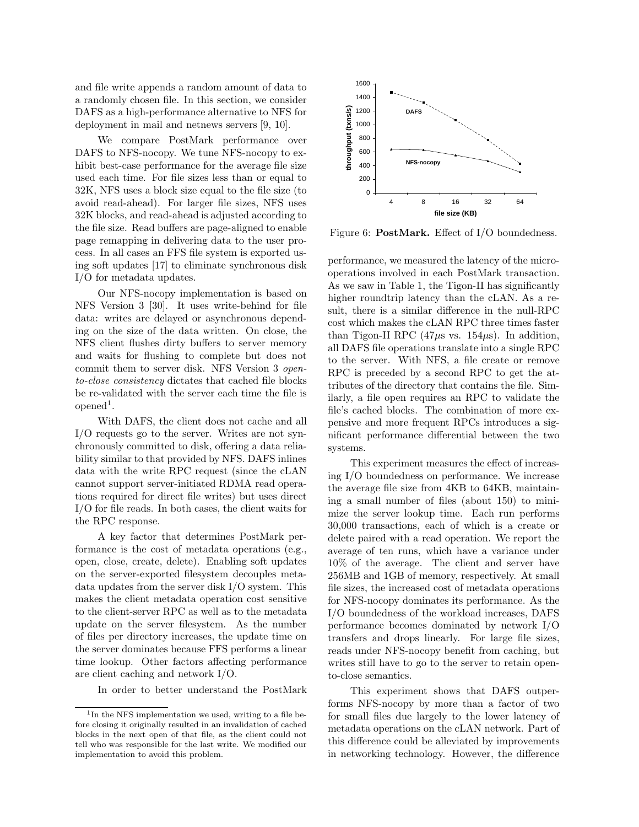and file write appends a random amount of data to a randomly chosen file. In this section, we consider DAFS as a high-performance alternative to NFS for deployment in mail and netnews servers [9, 10].

We compare PostMark performance over DAFS to NFS-nocopy. We tune NFS-nocopy to exhibit best-case performance for the average file size used each time. For file sizes less than or equal to 32K, NFS uses a block size equal to the file size (to avoid read-ahead). For larger file sizes, NFS uses 32K blocks, and read-ahead is adjusted according to the file size. Read buffers are page-aligned to enable page remapping in delivering data to the user process. In all cases an FFS file system is exported using soft updates [17] to eliminate synchronous disk I/O for metadata updates.

Our NFS-nocopy implementation is based on NFS Version 3 [30]. It uses write-behind for file data: writes are delayed or asynchronous depending on the size of the data written. On close, the NFS client flushes dirty buffers to server memory and waits for flushing to complete but does not commit them to server disk. NFS Version 3 opento-close consistency dictates that cached file blocks be re-validated with the server each time the file is  $opened<sup>1</sup>$ .

With DAFS, the client does not cache and all I/O requests go to the server. Writes are not synchronously committed to disk, offering a data reliability similar to that provided by NFS. DAFS inlines data with the write RPC request (since the cLAN cannot support server-initiated RDMA read operations required for direct file writes) but uses direct I/O for file reads. In both cases, the client waits for the RPC response.

A key factor that determines PostMark performance is the cost of metadata operations (e.g., open, close, create, delete). Enabling soft updates on the server-exported filesystem decouples metadata updates from the server disk I/O system. This makes the client metadata operation cost sensitive to the client-server RPC as well as to the metadata update on the server filesystem. As the number of files per directory increases, the update time on the server dominates because FFS performs a linear time lookup. Other factors affecting performance are client caching and network I/O.

In order to better understand the PostMark



Figure 6: PostMark. Effect of I/O boundedness.

performance, we measured the latency of the microoperations involved in each PostMark transaction. As we saw in Table 1, the Tigon-II has significantly higher roundtrip latency than the cLAN. As a result, there is a similar difference in the null-RPC cost which makes the cLAN RPC three times faster than Tigon-II RPC (47 $\mu$ s vs. 154 $\mu$ s). In addition, all DAFS file operations translate into a single RPC to the server. With NFS, a file create or remove RPC is preceded by a second RPC to get the attributes of the directory that contains the file. Similarly, a file open requires an RPC to validate the file's cached blocks. The combination of more expensive and more frequent RPCs introduces a significant performance differential between the two systems.

This experiment measures the effect of increasing I/O boundedness on performance. We increase the average file size from 4KB to 64KB, maintaining a small number of files (about 150) to minimize the server lookup time. Each run performs 30,000 transactions, each of which is a create or delete paired with a read operation. We report the average of ten runs, which have a variance under 10% of the average. The client and server have 256MB and 1GB of memory, respectively. At small file sizes, the increased cost of metadata operations for NFS-nocopy dominates its performance. As the I/O boundedness of the workload increases, DAFS performance becomes dominated by network I/O transfers and drops linearly. For large file sizes, reads under NFS-nocopy benefit from caching, but writes still have to go to the server to retain opento-close semantics.

This experiment shows that DAFS outperforms NFS-nocopy by more than a factor of two for small files due largely to the lower latency of metadata operations on the cLAN network. Part of this difference could be alleviated by improvements in networking technology. However, the difference

<sup>&</sup>lt;sup>1</sup>In the NFS implementation we used, writing to a file before closing it originally resulted in an invalidation of cached blocks in the next open of that file, as the client could not tell who was responsible for the last write. We modified our implementation to avoid this problem.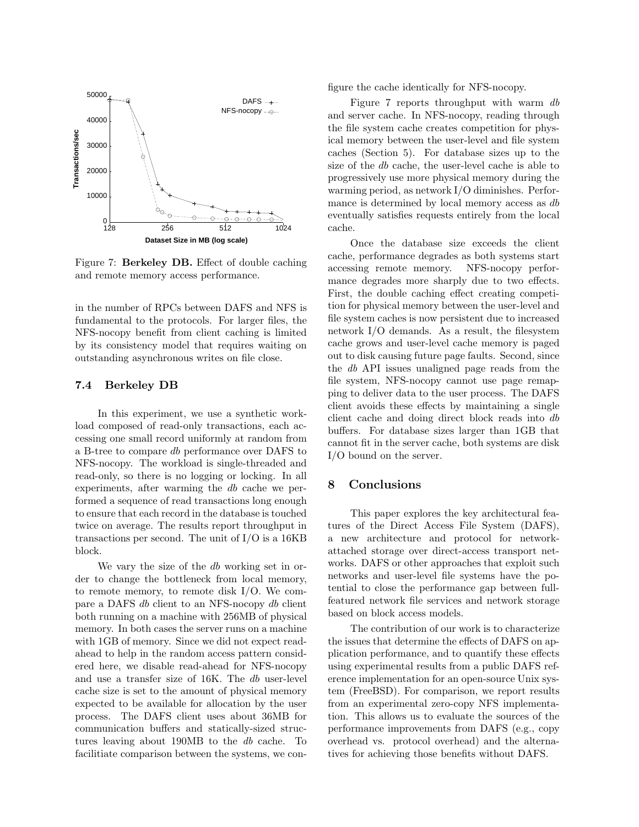

Figure 7: Berkeley DB. Effect of double caching and remote memory access performance.

in the number of RPCs between DAFS and NFS is fundamental to the protocols. For larger files, the NFS-nocopy benefit from client caching is limited by its consistency model that requires waiting on outstanding asynchronous writes on file close.

#### 7.4 Berkeley DB

In this experiment, we use a synthetic workload composed of read-only transactions, each accessing one small record uniformly at random from a B-tree to compare db performance over DAFS to NFS-nocopy. The workload is single-threaded and read-only, so there is no logging or locking. In all experiments, after warming the db cache we performed a sequence of read transactions long enough to ensure that each record in the database is touched twice on average. The results report throughput in transactions per second. The unit of I/O is a 16KB block.

We vary the size of the db working set in order to change the bottleneck from local memory, to remote memory, to remote disk I/O. We compare a DAFS db client to an NFS-nocopy db client both running on a machine with 256MB of physical memory. In both cases the server runs on a machine with  $1GB$  of memory. Since we did not expect readahead to help in the random access pattern considered here, we disable read-ahead for NFS-nocopy and use a transfer size of 16K. The db user-level cache size is set to the amount of physical memory expected to be available for allocation by the user process. The DAFS client uses about 36MB for communication buffers and statically-sized structures leaving about 190MB to the db cache. To facilitiate comparison between the systems, we configure the cache identically for NFS-nocopy.

Figure 7 reports throughput with warm db and server cache. In NFS-nocopy, reading through the file system cache creates competition for physical memory between the user-level and file system caches (Section 5). For database sizes up to the size of the db cache, the user-level cache is able to progressively use more physical memory during the warming period, as network I/O diminishes. Performance is determined by local memory access as db eventually satisfies requests entirely from the local cache.

Once the database size exceeds the client cache, performance degrades as both systems start accessing remote memory. NFS-nocopy performance degrades more sharply due to two effects. First, the double caching effect creating competition for physical memory between the user-level and file system caches is now persistent due to increased network I/O demands. As a result, the filesystem cache grows and user-level cache memory is paged out to disk causing future page faults. Second, since the db API issues unaligned page reads from the file system, NFS-nocopy cannot use page remapping to deliver data to the user process. The DAFS client avoids these effects by maintaining a single client cache and doing direct block reads into db buffers. For database sizes larger than 1GB that cannot fit in the server cache, both systems are disk I/O bound on the server.

#### 8 Conclusions

This paper explores the key architectural features of the Direct Access File System (DAFS), a new architecture and protocol for networkattached storage over direct-access transport networks. DAFS or other approaches that exploit such networks and user-level file systems have the potential to close the performance gap between fullfeatured network file services and network storage based on block access models.

The contribution of our work is to characterize the issues that determine the effects of DAFS on application performance, and to quantify these effects using experimental results from a public DAFS reference implementation for an open-source Unix system (FreeBSD). For comparison, we report results from an experimental zero-copy NFS implementation. This allows us to evaluate the sources of the performance improvements from DAFS (e.g., copy overhead vs. protocol overhead) and the alternatives for achieving those benefits without DAFS.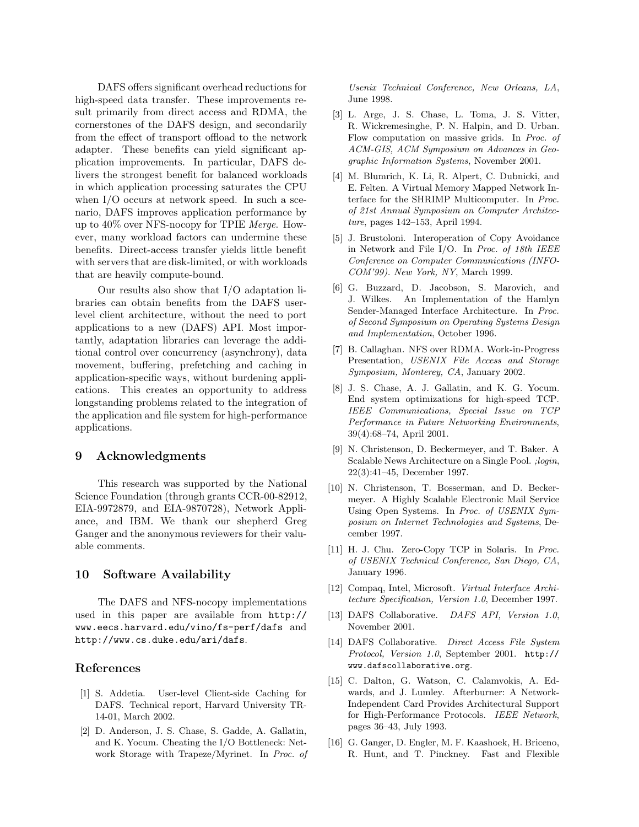DAFS offers significant overhead reductions for high-speed data transfer. These improvements result primarily from direct access and RDMA, the cornerstones of the DAFS design, and secondarily from the effect of transport offload to the network adapter. These benefits can yield significant application improvements. In particular, DAFS delivers the strongest benefit for balanced workloads in which application processing saturates the CPU when I/O occurs at network speed. In such a scenario, DAFS improves application performance by up to 40% over NFS-nocopy for TPIE Merge. However, many workload factors can undermine these benefits. Direct-access transfer yields little benefit with servers that are disk-limited, or with workloads that are heavily compute-bound.

Our results also show that I/O adaptation libraries can obtain benefits from the DAFS userlevel client architecture, without the need to port applications to a new (DAFS) API. Most importantly, adaptation libraries can leverage the additional control over concurrency (asynchrony), data movement, buffering, prefetching and caching in application-specific ways, without burdening applications. This creates an opportunity to address longstanding problems related to the integration of the application and file system for high-performance applications.

#### 9 Acknowledgments

This research was supported by the National Science Foundation (through grants CCR-00-82912, EIA-9972879, and EIA-9870728), Network Appliance, and IBM. We thank our shepherd Greg Ganger and the anonymous reviewers for their valuable comments.

#### 10 Software Availability

The DAFS and NFS-nocopy implementations used in this paper are available from http:// www.eecs.harvard.edu/vino/fs-perf/dafs and http://www.cs.duke.edu/ari/dafs.

## References

- [1] S. Addetia. User-level Client-side Caching for DAFS. Technical report, Harvard University TR-14-01, March 2002.
- [2] D. Anderson, J. S. Chase, S. Gadde, A. Gallatin, and K. Yocum. Cheating the I/O Bottleneck: Network Storage with Trapeze/Myrinet. In Proc. of

Usenix Technical Conference, New Orleans, LA, June 1998.

- [3] L. Arge, J. S. Chase, L. Toma, J. S. Vitter, R. Wickremesinghe, P. N. Halpin, and D. Urban. Flow computation on massive grids. In Proc. of ACM-GIS, ACM Symposium on Advances in Geographic Information Systems, November 2001.
- [4] M. Blumrich, K. Li, R. Alpert, C. Dubnicki, and E. Felten. A Virtual Memory Mapped Network Interface for the SHRIMP Multicomputer. In Proc. of 21st Annual Symposium on Computer Architecture, pages 142–153, April 1994.
- [5] J. Brustoloni. Interoperation of Copy Avoidance in Network and File I/O. In Proc. of 18th IEEE Conference on Computer Communications (INFO-COM'99). New York, NY, March 1999.
- [6] G. Buzzard, D. Jacobson, S. Marovich, and J. Wilkes. An Implementation of the Hamlyn Sender-Managed Interface Architecture. In Proc. of Second Symposium on Operating Systems Design and Implementation, October 1996.
- [7] B. Callaghan. NFS over RDMA. Work-in-Progress Presentation, USENIX File Access and Storage Symposium, Monterey, CA, January 2002.
- [8] J. S. Chase, A. J. Gallatin, and K. G. Yocum. End system optimizations for high-speed TCP. IEEE Communications, Special Issue on TCP Performance in Future Networking Environments, 39(4):68–74, April 2001.
- [9] N. Christenson, D. Beckermeyer, and T. Baker. A Scalable News Architecture on a Single Pool. ;login, 22(3):41–45, December 1997.
- [10] N. Christenson, T. Bosserman, and D. Beckermeyer. A Highly Scalable Electronic Mail Service Using Open Systems. In Proc. of USENIX Symposium on Internet Technologies and Systems, December 1997.
- [11] H. J. Chu. Zero-Copy TCP in Solaris. In Proc. of USENIX Technical Conference, San Diego, CA, January 1996.
- [12] Compaq, Intel, Microsoft. Virtual Interface Architecture Specification, Version 1.0, December 1997.
- [13] DAFS Collaborative. DAFS API, Version 1.0, November 2001.
- [14] DAFS Collaborative. Direct Access File System Protocol, Version 1.0, September 2001. http:// www.dafscollaborative.org.
- [15] C. Dalton, G. Watson, C. Calamvokis, A. Edwards, and J. Lumley. Afterburner: A Network-Independent Card Provides Architectural Support for High-Performance Protocols. IEEE Network, pages 36–43, July 1993.
- [16] G. Ganger, D. Engler, M. F. Kaashoek, H. Briceno, R. Hunt, and T. Pinckney. Fast and Flexible